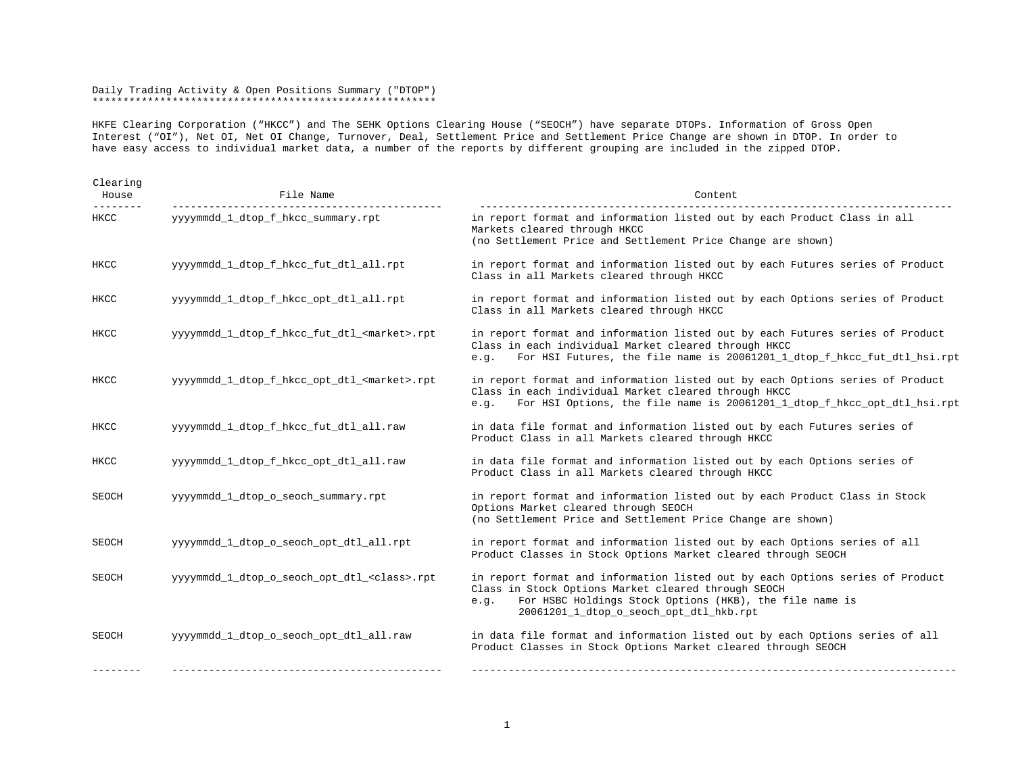## Daily Trading Activity & Open Positions Summary ("DTOP") \*\*\*\*\*\*\*\*\*\*\*\*\*\*\*\*\*\*\*\*\*\*\*\*\*\*\*\*\*\*\*\*\*\*\*\*\*\*\*\*\*\*\*\*\*\*\*\*\*\*\*\*\*\*\*\*

HKFE Clearing Corporation ("HKCC") and The SEHK Options Clearing House ("SEOCH") have separate DTOPs. Information of Gross Open Interest ("OI"), Net OI, Net OI Change, Turnover, Deal, Settlement Price and Settlement Price Change are shown in DTOP. In order to have easy access to individual market data, a number of the reports by different grouping are included in the zipped DTOP.

| Clearing<br>House | File Name                                             | Content                                                                                                                                                                                                                                            |
|-------------------|-------------------------------------------------------|----------------------------------------------------------------------------------------------------------------------------------------------------------------------------------------------------------------------------------------------------|
| HKCC              | yyyymmdd_1_dtop_f_hkcc_summary.rpt                    | in report format and information listed out by each Product Class in all<br>Markets cleared through HKCC<br>(no Settlement Price and Settlement Price Change are shown)                                                                            |
| HKCC              | yyyymmdd_1_dtop_f_hkcc_fut_dtl_all.rpt                | in report format and information listed out by each Futures series of Product<br>Class in all Markets cleared through HKCC                                                                                                                         |
| HKCC              | yyyymmdd_1_dtop_f_hkcc_opt_dtl_all.rpt                | in report format and information listed out by each Options series of Product<br>Class in all Markets cleared through HKCC                                                                                                                         |
| HKCC              | yyyymmdd_1_dtop_f_hkcc_fut_dtl_ <market>.rpt</market> | in report format and information listed out by each Futures series of Product<br>Class in each individual Market cleared through HKCC<br>For HSI Futures, the file name is 20061201_1_dtop_f_hkcc_fut_dtl_hsi.rpt<br>e.g.                          |
| HKCC              | yyyymmdd_1_dtop_f_hkcc_opt_dtl_ <market>.rpt</market> | in report format and information listed out by each Options series of Product<br>Class in each individual Market cleared through HKCC<br>For HSI Options, the file name is 20061201_1_dtop_f_hkcc_opt_dtl_hsi.rpt<br>e.9.                          |
| HKCC              | yyyymmdd_1_dtop_f_hkcc_fut_dtl_all.raw                | in data file format and information listed out by each Futures series of<br>Product Class in all Markets cleared through HKCC                                                                                                                      |
| HKCC              | yyyymmdd 1 dtop f hkcc opt dtl all.raw                | in data file format and information listed out by each Options series of<br>Product Class in all Markets cleared through HKCC                                                                                                                      |
| SEOCH             | yyyymmdd 1 dtop o seoch summary.rpt                   | in report format and information listed out by each Product Class in Stock<br>Options Market cleared through SEOCH<br>(no Settlement Price and Settlement Price Change are shown)                                                                  |
| SEOCH             | yyyymmdd_1_dtop_o_seoch_opt_dtl_all.rpt               | in report format and information listed out by each Options series of all<br>Product Classes in Stock Options Market cleared through SEOCH                                                                                                         |
| SEOCH             | yyyymmdd 1 dtop o seoch opt dtl <class>.rpt</class>   | in report format and information listed out by each Options series of Product<br>Class in Stock Options Market cleared through SEOCH<br>For HSBC Holdings Stock Options (HKB), the file name is<br>e.g.<br>20061201_1_dtop_o_seoch_opt_dtl_hkb.rpt |
| SEOCH             | yyyymmdd 1 dtop o seoch opt dtl all.raw               | in data file format and information listed out by each Options series of all<br>Product Classes in Stock Options Market cleared through SEOCH                                                                                                      |
|                   |                                                       |                                                                                                                                                                                                                                                    |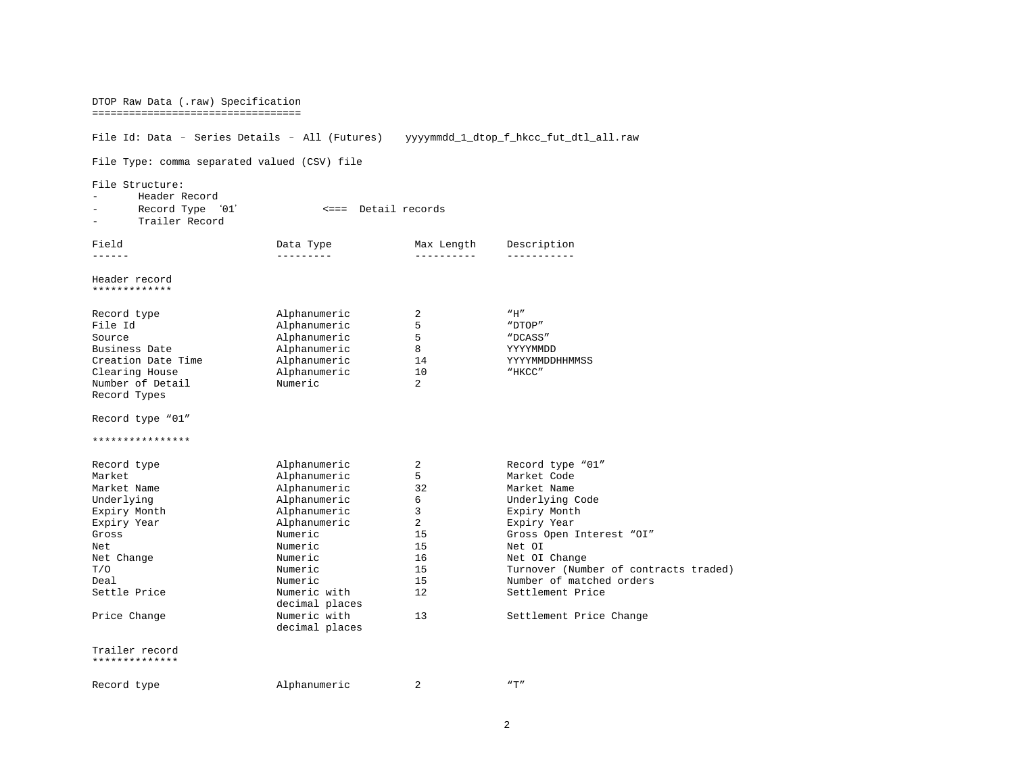| DTOP Raw Data (.raw) Specification<br>===================================                        |                         |                |                                                                   |  |  |  |  |  |
|--------------------------------------------------------------------------------------------------|-------------------------|----------------|-------------------------------------------------------------------|--|--|--|--|--|
| File Id: Data - Series Details - All (Futures)<br>yyyymmdd_1_dtop_f_hkcc_fut_dtl_all.raw         |                         |                |                                                                   |  |  |  |  |  |
| File Type: comma separated valued (CSV) file                                                     |                         |                |                                                                   |  |  |  |  |  |
| File Structure:<br>Header Record<br>Record Type<br><=== Detail records<br>`01'<br>Trailer Record |                         |                |                                                                   |  |  |  |  |  |
| Field                                                                                            | Data Type               | Max Length     | Description                                                       |  |  |  |  |  |
| ------<br>---------<br>----------<br>------------<br>Header record<br>*************              |                         |                |                                                                   |  |  |  |  |  |
| Record type                                                                                      | Alphanumeric            | 2              | "H"                                                               |  |  |  |  |  |
| File Id                                                                                          | Alphanumeric            | 5              | "DTOP"                                                            |  |  |  |  |  |
| Source                                                                                           | Alphanumeric            | 5              | "DCASS"                                                           |  |  |  |  |  |
| Business Date                                                                                    | Alphanumeric            | 8              | YYYYMMDD                                                          |  |  |  |  |  |
| Creation Date Time                                                                               | Alphanumeric            | 14             | YYYYMMDDHHMMSS                                                    |  |  |  |  |  |
| Clearing House                                                                                   | Alphanumeric            | 10             | "HKCC"                                                            |  |  |  |  |  |
| Number of Detail                                                                                 | Numeric                 | $\overline{a}$ |                                                                   |  |  |  |  |  |
| Record Types                                                                                     |                         |                |                                                                   |  |  |  |  |  |
| Record type "01"                                                                                 |                         |                |                                                                   |  |  |  |  |  |
| ****************                                                                                 |                         |                |                                                                   |  |  |  |  |  |
| Record type                                                                                      | Alphanumeric            | $\overline{2}$ | Record type "01"                                                  |  |  |  |  |  |
| Market                                                                                           | Alphanumeric            | 5              | Market Code                                                       |  |  |  |  |  |
| Market Name                                                                                      | Alphanumeric            | 32             | Market Name                                                       |  |  |  |  |  |
| Underlying                                                                                       | Alphanumeric            | 6              | Underlying Code                                                   |  |  |  |  |  |
| Expiry Month                                                                                     | Alphanumeric            | 3              | Expiry Month                                                      |  |  |  |  |  |
| Expiry Year                                                                                      | Alphanumeric            | $\overline{a}$ | Expiry Year                                                       |  |  |  |  |  |
| Gross                                                                                            | Numeric                 | 15             | Gross Open Interest "OI"                                          |  |  |  |  |  |
| Net                                                                                              | Numeric                 | 15             | Net OI                                                            |  |  |  |  |  |
| Net Change                                                                                       | Numeric                 | 16             | Net OI Change                                                     |  |  |  |  |  |
| T/O<br>Deal                                                                                      | Numeric                 | 15<br>15       | Turnover (Number of contracts traded)<br>Number of matched orders |  |  |  |  |  |
| Settle Price                                                                                     | Numeric<br>Numeric with | 12             | Settlement Price                                                  |  |  |  |  |  |
|                                                                                                  | decimal places          |                |                                                                   |  |  |  |  |  |
| Price Change                                                                                     | Numeric with            | 13             | Settlement Price Change                                           |  |  |  |  |  |
|                                                                                                  | decimal places          |                |                                                                   |  |  |  |  |  |
| Trailer record<br>**************                                                                 |                         |                |                                                                   |  |  |  |  |  |
| Record type                                                                                      | Alphanumeric            | 2              | $n + n$                                                           |  |  |  |  |  |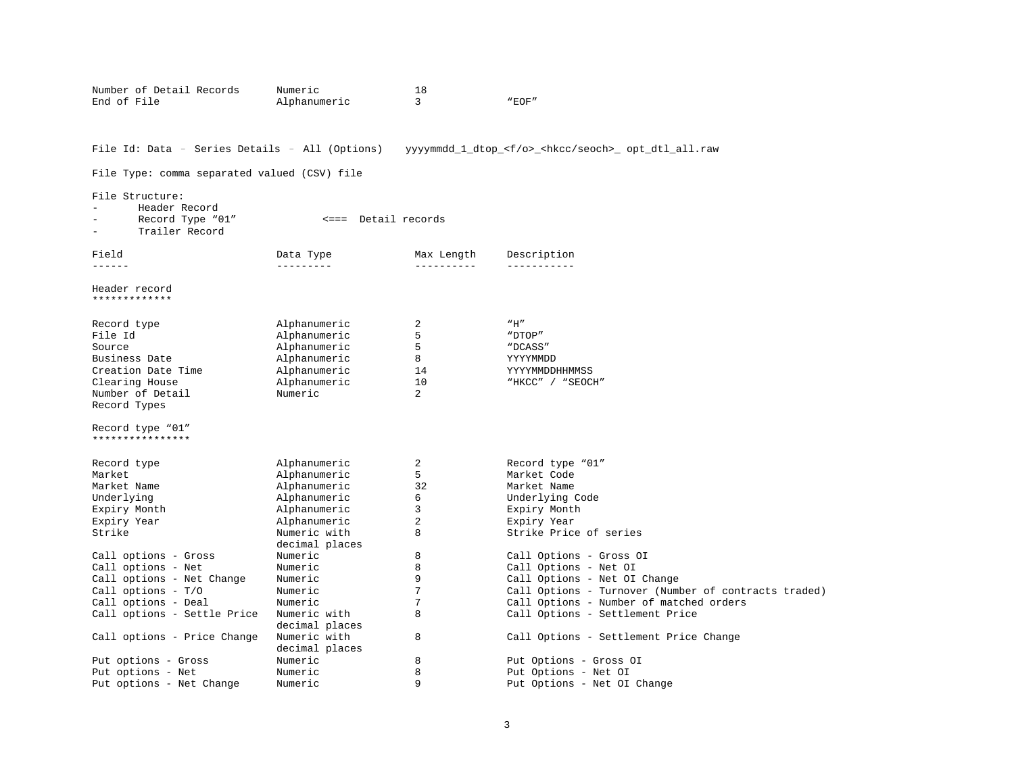| Number of Detail Records<br>End of File             | Numeric<br>Alphanumeric      | 18<br>3                  | "EOF"                                                                 |  |  |  |  |  |
|-----------------------------------------------------|------------------------------|--------------------------|-----------------------------------------------------------------------|--|--|--|--|--|
|                                                     |                              |                          |                                                                       |  |  |  |  |  |
| File Id: Data - Series Details - All (Options)      |                              |                          | yyyymmdd_1_dtop_ <f o="">_<hkcc seoch="">_ opt_dtl_all.raw</hkcc></f> |  |  |  |  |  |
| File Type: comma separated valued (CSV) file        |                              |                          |                                                                       |  |  |  |  |  |
| File Structure:                                     |                              |                          |                                                                       |  |  |  |  |  |
| Header Record<br>Record Type "01"<br>Trailer Record | <=== Detail records          |                          |                                                                       |  |  |  |  |  |
| Field<br>------                                     | Data Type<br>---------       | Max Length<br>---------- | Description<br>-----------                                            |  |  |  |  |  |
|                                                     |                              |                          |                                                                       |  |  |  |  |  |
| Header record<br>*************                      |                              |                          |                                                                       |  |  |  |  |  |
|                                                     |                              | 2                        | "H"                                                                   |  |  |  |  |  |
| Record type<br>File Id                              | Alphanumeric<br>Alphanumeric | 5                        | "DTOP"                                                                |  |  |  |  |  |
| Source                                              | Alphanumeric                 | 5                        | "DCASS"                                                               |  |  |  |  |  |
| Business Date                                       | Alphanumeric                 | 8                        | YYYYMMDD                                                              |  |  |  |  |  |
| Creation Date Time                                  | Alphanumeric                 | 14                       | YYYYMMDDHHMMSS                                                        |  |  |  |  |  |
| Clearing House                                      | Alphanumeric                 | 10                       | "HKCC" / "SEOCH"                                                      |  |  |  |  |  |
| Number of Detail                                    | Numeric                      | $\overline{a}$           |                                                                       |  |  |  |  |  |
| Record Types                                        |                              |                          |                                                                       |  |  |  |  |  |
| Record type "01"<br>****************                |                              |                          |                                                                       |  |  |  |  |  |
|                                                     |                              |                          |                                                                       |  |  |  |  |  |
| Record type<br>Market                               | Alphanumeric<br>Alphanumeric | 2<br>5                   | Record type "01"<br>Market Code                                       |  |  |  |  |  |
| Market Name                                         | Alphanumeric                 | 32                       | Market Name                                                           |  |  |  |  |  |
| Underlying                                          | Alphanumeric                 | 6                        | Underlying Code                                                       |  |  |  |  |  |
| Expiry Month                                        | Alphanumeric                 | 3                        | Expiry Month                                                          |  |  |  |  |  |
| Expiry Year                                         | Alphanumeric                 | $\overline{2}$           | Expiry Year                                                           |  |  |  |  |  |
| Strike                                              | Numeric with                 | 8                        | Strike Price of series                                                |  |  |  |  |  |
|                                                     | decimal places               |                          |                                                                       |  |  |  |  |  |
| Call options - Gross                                | Numeric                      | 8                        | Call Options - Gross OI                                               |  |  |  |  |  |
| Call options - Net                                  | Numeric                      | 8                        | Call Options - Net OI                                                 |  |  |  |  |  |
| Call options - Net Change                           | Numeric                      | 9                        | Call Options - Net OI Change                                          |  |  |  |  |  |
| Call options - T/O                                  | Numeric                      | 7                        | Call Options - Turnover (Number of contracts traded)                  |  |  |  |  |  |
| Call options - Deal                                 | Numeric                      | $7\overline{ }$          | Call Options - Number of matched orders                               |  |  |  |  |  |
| Call options - Settle Price                         | Numeric with                 | 8                        | Call Options - Settlement Price                                       |  |  |  |  |  |
|                                                     | decimal places               |                          |                                                                       |  |  |  |  |  |
| Call options - Price Change                         | Numeric with                 | 8                        | Call Options - Settlement Price Change                                |  |  |  |  |  |
|                                                     | decimal places               | 8                        |                                                                       |  |  |  |  |  |
| Put options - Gross<br>Put options - Net            | Numeric<br>Numeric           | 8                        | Put Options - Gross OI<br>Put Options - Net OI                        |  |  |  |  |  |
| Put options - Net Change                            | Numeric                      | 9                        | Put Options - Net OI Change                                           |  |  |  |  |  |
|                                                     |                              |                          |                                                                       |  |  |  |  |  |